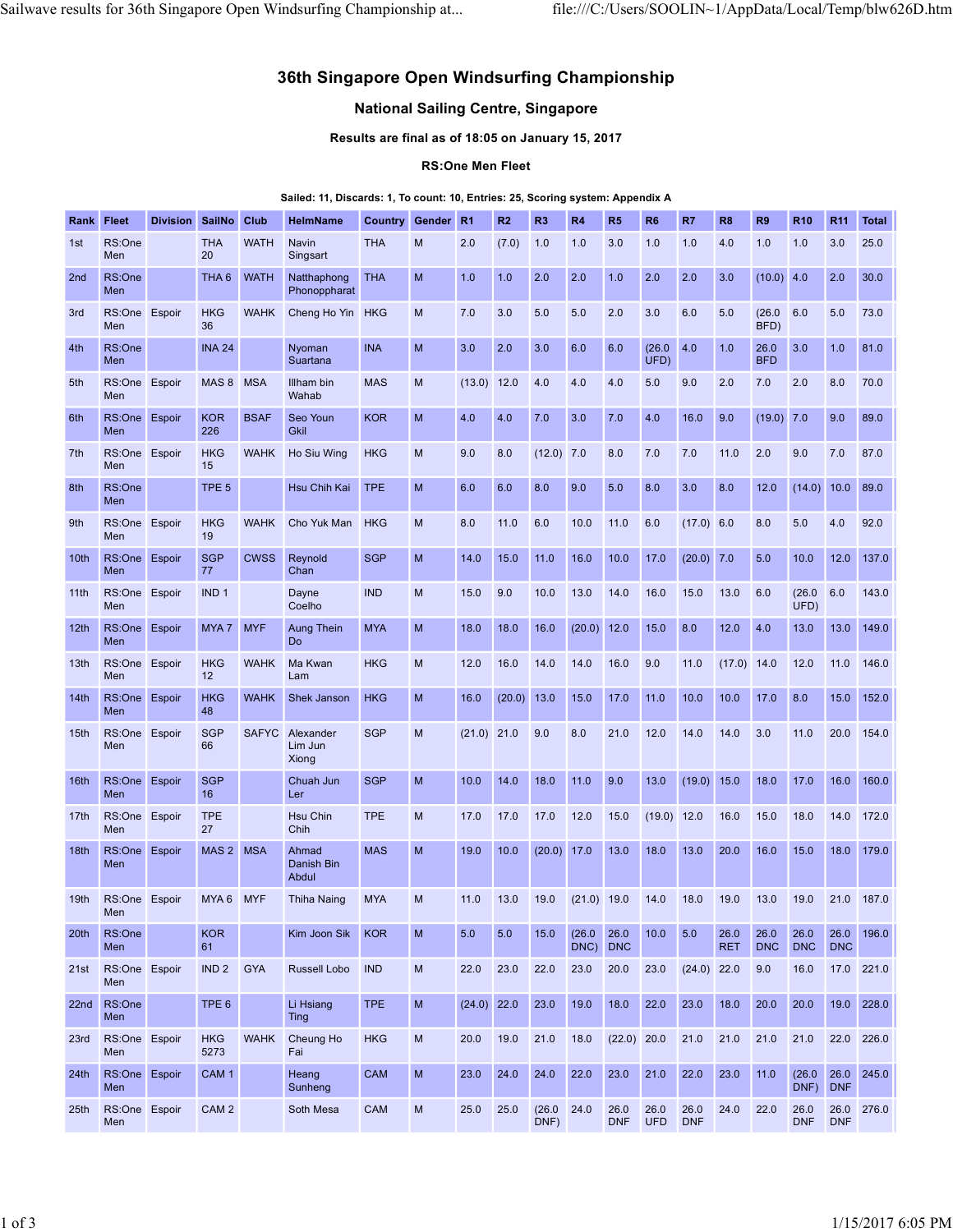# 36th Singapore Open Windsurfing Championship Sailwave results for 36th Singapore Open Windsurfing Championship at... file:///C:/Users/SOOLIN~1/AppData/Local/Temp/blw626D.htm<br>36th Singapore Open Windsurfing Championship<br>National Sailing Centre. Singapore

# National Sailing Centre, Singapore

# RS:One Men Fleet

# Sailed: 11, Discards: 1, To count: 10, Entries: 25, Scoring system: Appendix A

|                  |                                  |                      |                        |             | 36th Singapore Open Windsurfing Championship                                   |                                                                                                |   |               |                         |                                          |           |                    |                          |              |                  |                       |                                                                |     |                               |
|------------------|----------------------------------|----------------------|------------------------|-------------|--------------------------------------------------------------------------------|------------------------------------------------------------------------------------------------|---|---------------|-------------------------|------------------------------------------|-----------|--------------------|--------------------------|--------------|------------------|-----------------------|----------------------------------------------------------------|-----|-------------------------------|
|                  |                                  |                      |                        |             |                                                                                | <b>National Sailing Centre, Singapore</b><br>Results are final as of 18:05 on January 15, 2017 |   |               |                         |                                          |           |                    |                          |              |                  |                       |                                                                |     |                               |
|                  |                                  |                      |                        |             |                                                                                |                                                                                                |   |               | <b>RS:One Men Fleet</b> |                                          |           |                    |                          |              |                  |                       |                                                                |     |                               |
|                  |                                  |                      |                        |             | Sailed: 11, Discards: 1, To count: 10, Entries: 25, Scoring system: Appendix A |                                                                                                |   |               |                         |                                          |           |                    |                          |              |                  |                       |                                                                |     |                               |
| 1st              | <b>Rank Fleet</b><br>RS:One      | Division SailNo Club | <b>THA</b>             | <b>WATH</b> | HelmName<br>Navin                                                              | Country Gender R1<br><b>THA</b>                                                                | M | 2.0           | R2<br>(7.0)             | R3<br>1.0                                | R4<br>1.0 | <b>R5</b><br>3.0   | R <sub>6</sub><br>1.0    | R7<br>1.0    | <b>R8</b><br>4.0 | R <sub>9</sub><br>1.0 | <b>R10</b><br>1.0                                              | 3.0 | R <sub>11</sub> Total<br>25.0 |
| 2nd              | Men<br>RS:One                    |                      | 20<br>THA 6            | <b>WATH</b> | Singsart<br>Natthaphong                                                        | <b>THA</b>                                                                                     | M | 1.0           | 1.0                     | 2.0                                      | 2.0       | 1.0                | 2.0                      | 2.0          | 3.0              | $(10.0)$ 4.0          |                                                                | 2.0 | 30.0                          |
| 3rd              | Men<br>RS:One Espoir             |                      | <b>HKG</b>             |             | Phonoppharat<br>WAHK Cheng Ho Yin HKG                                          |                                                                                                | M | 7.0           | 3.0                     | 5.0                                      | 5.0       | 2.0                | 3.0                      | 6.0          | 5.0              | (26.0)                | 6.0                                                            | 5.0 | 73.0                          |
| 4th              | Men<br>RS:One                    |                      | 36<br><b>INA 24</b>    |             | Nyoman                                                                         | <b>INA</b>                                                                                     | M | 3.0           | 2.0                     | 3.0                                      | 6.0       | 6.0                | (26.0 4.0                |              | 1.0              | BFD)<br>26.0          | 3.0                                                            | 1.0 | 81.0                          |
| 5th              | Men<br>RS:One Espoir             |                      | MAS 8 MSA              |             | Suartana<br>Illham bin                                                         | <b>MAS</b>                                                                                     | M | $(13.0)$ 12.0 |                         | 4.0                                      | 4.0       | 4.0                | UFD)<br>5.0              | 9.0          | 2.0              | <b>BFD</b><br>7.0     | 2.0                                                            | 8.0 | 70.0                          |
| 6th              | Men<br>RS:One Espoir             |                      | <b>KOR</b>             | <b>BSAF</b> | Wahab<br>Seo Youn                                                              | <b>KOR</b>                                                                                     | M | 4.0           | 4.0                     | 7.0                                      | 3.0       | 7.0                | 4.0                      | 16.0         | 9.0              | $(19.0)$ 7.0          |                                                                | 9.0 | 89.0                          |
| 7th              | Men<br>RS:One                    | Espoir               | 226<br><b>HKG</b>      |             | Gkil<br>WAHK Ho Siu Wing                                                       | <b>HKG</b>                                                                                     | M | 9.0           | 8.0                     | $(12.0)$ 7.0                             |           | 8.0                | 7.0                      | 7.0          | 11.0             | 2.0                   | 9.0                                                            | 7.0 | 87.0                          |
| 8th              | Men<br>RS:One                    |                      | 15<br>TPE <sub>5</sub> |             | Hsu Chih Kai                                                                   | <b>TPE</b>                                                                                     | M | 6.0           | 6.0                     | 8.0                                      | 9.0       | 5.0                | 8.0                      | 3.0          | 8.0              | 12.0                  | (14.0) 10.0 89.0                                               |     |                               |
| 9th              | Men<br>RS:One Espoir             |                      | <b>HKG</b>             |             | WAHK Cho Yuk Man HKG                                                           |                                                                                                | M | 8.0           | 11.0                    | 6.0                                      | 10.0      | $11.0\quad 6.0$    |                          | $(17.0)$ 6.0 |                  | 8.0                   | 5.0                                                            | 4.0 | 92.0                          |
|                  | Men<br>10th RS:One Espoir        |                      | 19<br><b>SGP</b>       |             | CWSS Reynold                                                                   | <b>SGP</b>                                                                                     | M | 14.0          | 15.0                    | 11.0                                     | 16.0      | 10.0               | $17.0$                   | $(20.0)$ 7.0 |                  | 5.0                   | 10.0                                                           |     | 12.0 137.0                    |
|                  | Men<br>11th RS:One Espoir<br>Men |                      | 77<br>IND <sub>1</sub> |             | Chan<br>Dayne<br>Coelho                                                        | <b>IND</b>                                                                                     | M | 15.0          | 9.0                     | 10.0                                     | 13.0      | 14.0               | 16.0                     |              | 15.0 13.0 6.0    |                       | $(26.0 \ 6.0$<br>UFD)                                          |     | 143.0                         |
|                  | 12th RS:One Espoir<br>Men        |                      | MYA 7 MYF              |             | Aung Thein<br><b>Do</b>                                                        | <b>MYA</b>                                                                                     | M | 18.0          | 18.0                    | 16.0                                     |           |                    | $(20.0)$ 12.0 15.0 8.0   |              | $12.0\quad 4.0$  |                       |                                                                |     | 13.0 13.0 149.0               |
|                  | 13th RS:One Espoir<br>Men        |                      | <b>HKG</b><br>12       |             | WAHK Ma Kwan<br>Lam                                                            | <b>HKG</b>                                                                                     | M | 12.0          | 16.0                    | 14.0                                     | 14.0      | 16.0               | 9.0                      | 11.0         |                  |                       | $(17.0)$ 14.0 12.0 11.0 146.0                                  |     |                               |
|                  | 14th RS:One Espoir<br>Men        |                      | <b>HKG</b><br>48       |             | WAHK Shek Janson                                                               | <b>HKG</b>                                                                                     | M | 16.0          | $(20.0)$ 13.0           |                                          | 15.0      | $\boxed{17.0}$     | 11.0                     | 10.0         |                  | $10.0$ 17.0 8.0       |                                                                |     | 15.0 152.0                    |
|                  | 15th RS:One Espoir<br>Men        |                      | <b>SGP</b><br>66       |             | SAFYC Alexander<br>Lim Jun<br>Xiong                                            | <b>SGP</b>                                                                                     | M |               | $(21.0)$ 21.0 9.0       |                                          | 8.0       | 21.0 12.0          |                          |              | $14.0$ 14.0 3.0  |                       | $11.0$ 20.0 154.0                                              |     |                               |
| 16th             | RS:One Espoir<br>Men             |                      | <b>SGP</b><br>16       |             | Chuah Jun<br>Ler                                                               | <b>SGP</b>                                                                                     | M | 10.0          | 14.0                    | 18.0                                     | 11.0      | 9.0                | 13.0                     |              |                  |                       | $(19.0)$ 15.0 18.0 17.0 16.0 160.0                             |     |                               |
|                  | 17th RS:One Espoir<br>Men        |                      | <b>TPE</b><br>27       |             | Hsu Chin<br>Chih                                                               | <b>TPE</b>                                                                                     | M |               |                         |                                          |           |                    |                          |              |                  |                       | 17.0 17.0 17.0 12.0 15.0 (19.0) 12.0 16.0 15.0 18.0 14.0 172.0 |     |                               |
|                  | 18th RS:One Espoir<br>Men        |                      | MAS 2 MSA              |             | Ahmad<br>Danish Bin<br>Abdul                                                   | <b>MAS</b>                                                                                     | M | 19.0          |                         |                                          |           |                    |                          |              |                  |                       | 10.0 (20.0) 17.0 13.0 18.0 13.0 20.0 16.0 15.0 18.0 179.0      |     |                               |
|                  | 19th RS:One Espoir<br>Men        |                      | MYA 6 MYF              |             | Thiha Naing                                                                    | <b>MYA</b>                                                                                     | M |               | 11.0 13.0 19.0          |                                          |           |                    |                          |              |                  |                       | $(21.0)$ 19.0 14.0 18.0 19.0 13.0 19.0 21.0 187.0              |     |                               |
|                  | 20th RS:One<br>Men               |                      | <b>KOR</b><br>61       |             | Kim Joon Sik KOR                                                               |                                                                                                | M | 5.0           | 5.0                     |                                          | DNC) DNC  |                    | 15.0 (26.0 26.0 10.0 5.0 |              | <b>RET</b>       |                       | 26.0 26.0 26.0 26.0 196.0<br>DNC DNC DNC                       |     |                               |
|                  | 21st RS:One Espoir<br>Men        |                      | IND 2 GYA              |             | Russell Lobo IND                                                               |                                                                                                | M | 22.0          |                         | 23.0 22.0 23.0 20.0 23.0 (24.0) 22.0 9.0 |           |                    |                          |              |                  |                       | 16.0 17.0 221.0                                                |     |                               |
|                  | 22nd RS:One<br>Men               |                      | TPE <sub>6</sub>       |             | Li Hsiang<br>Ting                                                              | <b>TPE</b>                                                                                     | M |               | $(24.0)$ 22.0 23.0      |                                          | 19.0      |                    |                          |              |                  |                       | 18.0 22.0 23.0 18.0 20.0 20.0 19.0 228.0                       |     |                               |
|                  | 23rd RS:One Espoir<br>Men        |                      | <b>HKG</b><br>5273     | <b>WAHK</b> | Cheung Ho<br>Fai                                                               | <b>HKG</b>                                                                                     | M |               |                         | 20.0 19.0 21.0 18.0                      |           |                    |                          |              |                  |                       | $(22.0)$ 20.0 21.0 21.0 21.0 21.0 22.0 226.0                   |     |                               |
|                  | 24th RS:One Espoir<br>Men        |                      | CAM <sub>1</sub>       |             | Heang<br>Sunheng                                                               | <b>CAM</b>                                                                                     | M |               |                         | 23.0 24.0 24.0 22.0                      |           |                    | 23.0 21.0 22.0 23.0 11.0 |              |                  |                       | $(26.0 \quad 26.0 \quad 245.0$<br>DNF) DNF                     |     |                               |
| 25 <sub>th</sub> | RS:One Espoir<br>Men             |                      | CAM <sub>2</sub>       |             | Soth Mesa                                                                      | <b>CAM</b>                                                                                     | M | 25.0          | 25.0                    | (26.0 24.0<br>DNF)                       |           | 26.0<br><b>DNF</b> | 26.0<br>UFD DNF          | 26.0         |                  | 24.0 22.0 26.0        | DNF DNF                                                        |     | 26.0 276.0                    |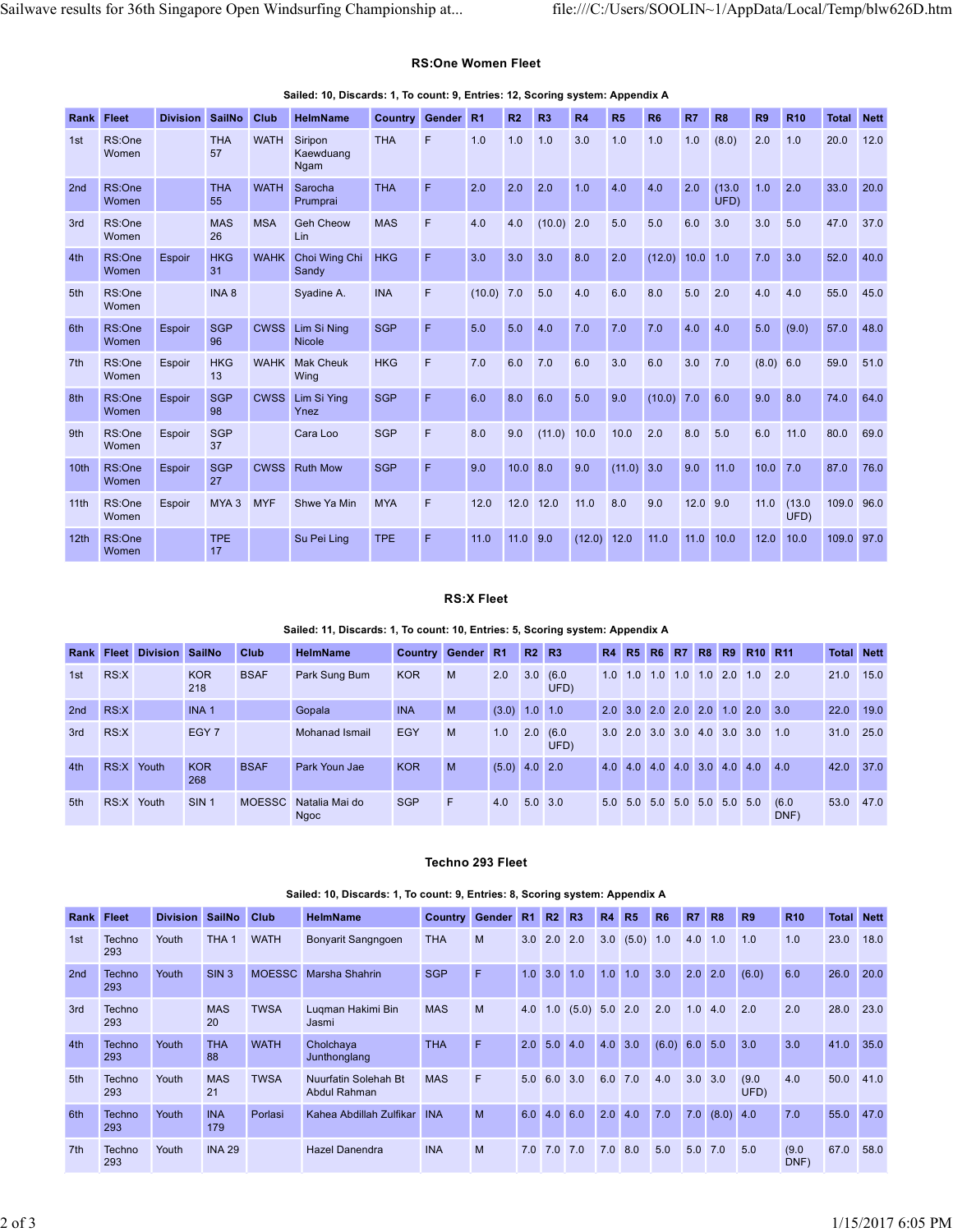# RS:One Women Fleet

|                   |                      |                            |                         |                     | Sailwave results for 36th Singapore Open Windsurfing Championship at                             |                   |                              |                   |                  |                         |                            |                              |                  |                |                                                                              |                | file:///C:/Users/SOOLIN~1/AppData/Local/Temp/blw626D.htm |                                |      |
|-------------------|----------------------|----------------------------|-------------------------|---------------------|--------------------------------------------------------------------------------------------------|-------------------|------------------------------|-------------------|------------------|-------------------------|----------------------------|------------------------------|------------------|----------------|------------------------------------------------------------------------------|----------------|----------------------------------------------------------|--------------------------------|------|
|                   |                      |                            |                         |                     |                                                                                                  |                   |                              |                   |                  |                         |                            |                              |                  |                |                                                                              |                |                                                          |                                |      |
|                   |                      |                            |                         |                     |                                                                                                  |                   | <b>RS:One Women Fleet</b>    |                   |                  |                         |                            |                              |                  |                |                                                                              |                |                                                          |                                |      |
| <b>Rank Fleet</b> |                      |                            | Division SailNo Club    |                     | Sailed: 10, Discards: 1, To count: 9, Entries: 12, Scoring system: Appendix A<br><b>HelmName</b> | Country Gender R1 |                              |                   | R2               | <b>R3</b>               | R4                         | R5                           | R <sub>6</sub>   | R7             | R <sub>8</sub>                                                               | R <sub>9</sub> | R <sub>10</sub>                                          | <b>Total Nett</b>              |      |
| 1st               | RS:One<br>Women      |                            | <b>THA</b><br>57        |                     | WATH Siripon<br>Kaewduang<br>Ngam                                                                | <b>THA</b>        | F                            | 1.0               | $1.0$ 1.0        |                         | 3.0                        | 1.0                          | 1.0              |                | $1.0$ (8.0)                                                                  | $2.0$ 1.0      |                                                          | 20.0 12.0                      |      |
| 2nd               | RS:One<br>Women      |                            | <b>THA</b><br>55        | <b>WATH</b>         | Sarocha<br>Prumprai                                                                              | <b>THA</b>        | F.                           | 2.0               | $2.0$ 2.0        |                         | 1.0                        | 4.0                          | 4.0              | 2.0            | (13.0)<br>UFD)                                                               | $1.0$ 2.0      |                                                          | 33.0                           | 20.0 |
| 3rd               | RS:One<br>Women      |                            | <b>MAS</b><br>26        | <b>MSA</b>          | <b>Geh Cheow</b><br>Lin                                                                          | <b>MAS</b>        | F.                           | 4.0               | 4.0              | $(10.0)$ 2.0            |                            | 5.0                          | 5.0              | 6.0            | 3.0                                                                          |                | $3.0\quad 5.0$                                           | 47.0 37.0                      |      |
| 4th               | RS:One<br>Women      | Espoir                     | <b>HKG</b><br>31        |                     | WAHK Choi Wing Chi HKG<br>Sandy                                                                  |                   | $\mathsf F$                  | 3.0               | 3.0              | 3.0                     | 8.0                        | 2.0                          | (12.0) 10.0 1.0  |                |                                                                              | $7.0$ 3.0      |                                                          | 52.0                           | 40.0 |
| 5th               | RS:One<br>Women      |                            | INA <sub>8</sub>        |                     | Syadine A.                                                                                       | <b>INA</b>        | F.                           |                   | $(10.0)$ 7.0 5.0 |                         | 4.0                        | 6.0                          | 8.0              | 5.0            | 2.0                                                                          | 4.0            | 4.0                                                      | 55.0 45.0                      |      |
| 6th               | RS:One<br>Women      | Espoir                     | SGP<br>96               |                     | CWSS Lim Si Ning<br>Nicole                                                                       | <b>SGP</b>        | E                            | 5.0               | 5.0              | 4.0                     | 7.0                        | 7.0                          | 7.0              | $4.0\quad 4.0$ |                                                                              |                | $5.0$ (9.0)                                              | 57.0                           | 48.0 |
| 7th               | RS:One<br>Women      | Espoir                     | <b>HKG</b><br>13        |                     | <b>WAHK</b> Mak Cheuk<br>Wing                                                                    | <b>HKG</b>        | F                            | 7.0               | 6.0              | 7.0                     | 6.0                        | 3.0                          | 6.0              | $3.0$ 7.0      |                                                                              |                | (8.0) 6.0                                                | 59.0 51.0                      |      |
| 8th               | RS:One<br>Women      | Espoir                     | <b>SGP</b><br>98        |                     | CWSS Lim Si Ying<br>Ynez                                                                         | <b>SGP</b>        | F.                           | 6.0               | 8.0 6.0          |                         | 5.0                        | 9.0                          | $(10.0)$ 7.0 6.0 |                |                                                                              | $9.0\quad 8.0$ |                                                          | 74.0                           | 64.0 |
| 9th               | RS:One<br>Women      | Espoir                     | <b>SGP</b><br>37        |                     | Cara Loo                                                                                         | <b>SGP</b>        | F                            | 8.0               |                  |                         | $9.0$ (11.0) 10.0 10.0 2.0 |                              |                  | 8.0 5.0        |                                                                              |                | $6.0$ 11.0                                               | 80.0 69.0                      |      |
| 10 <sub>th</sub>  | RS:One<br>Women      | Espoir                     | SGP<br>27               |                     | <b>CWSS</b> Ruth Mow                                                                             | <b>SGP</b>        | F.                           | 9.0               | 10.0 8.0         |                         | 9.0                        | $(11.0)$ 3.0                 |                  |                | $9.0$ 11.0                                                                   |                | $10.0$ 7.0                                               | 87.0 76.0                      |      |
|                   | 11th RS:One<br>Women | Espoir                     |                         | MYA 3 MYF           | Shwe Ya Min                                                                                      | <b>MYA</b>        | F                            |                   |                  |                         | 12.0 12.0 12.0 11.0        | 8.0                          | 9.0              | $12.0$ 9.0     |                                                                              |                | $11.0$ (13.0<br>UFD)                                     | 109.0 96.0                     |      |
|                   | 12th RS:One<br>Women |                            | <b>TPE</b><br>17        |                     | Su Pei Ling                                                                                      | <b>TPE</b>        | $\mathsf F$                  | 11.0              | $11.0$ 9.0       |                         |                            | $(12.0)$ 12.0 11.0 11.0 10.0 |                  |                |                                                                              |                | 12.0 10.0                                                | 109.0 97.0                     |      |
|                   |                      |                            |                         |                     |                                                                                                  |                   |                              |                   |                  |                         |                            |                              |                  |                |                                                                              |                |                                                          |                                |      |
|                   |                      |                            |                         |                     |                                                                                                  |                   |                              | <b>RS:X Fleet</b> |                  |                         |                            |                              |                  |                |                                                                              |                |                                                          |                                |      |
|                   |                      |                            |                         |                     | Sailed: 11, Discards: 1, To count: 10, Entries: 5, Scoring system: Appendix A                    |                   |                              |                   |                  |                         |                            |                              |                  |                |                                                                              |                |                                                          |                                |      |
| 1st               | RS:X                 | Rank Fleet Division SailNo | <b>KOR</b>              | Club<br><b>BSAF</b> | <b>HelmName</b><br>Park Sung Bum                                                                 | KOR               | Country Gender R1 R2 R3<br>M |                   |                  | $2.0$ $3.0$ $(6.0)$     |                            |                              |                  |                | R4 R5 R6 R7 R8 R9 R10 R11<br>$1.0$ $1.0$ $1.0$ $1.0$ $1.0$ $2.0$ $1.0$ $2.0$ |                |                                                          | <b>Total Nett</b><br>21.0 15.0 |      |
| 2nd               | RS:X                 |                            | 218<br>INA <sub>1</sub> |                     | Gopala                                                                                           | <b>INA</b>        | M                            |                   |                  | UFD)<br>$(3.0)$ 1.0 1.0 |                            |                              |                  |                | 2.0 3.0 2.0 2.0 2.0 1.0 2.0 3.0                                              |                |                                                          | 22.0 19.0                      |      |
| 3rd               | RS:X                 |                            | EGY <sub>7</sub>        |                     | <b>Mohanad Ismail</b>                                                                            | EGY               | M                            |                   |                  | $1.0$ 2.0 (6.0<br>UFD)  |                            |                              |                  |                | 3.0 2.0 3.0 3.0 4.0 3.0 3.0 1.0                                              |                |                                                          | 31.0 25.0                      |      |
| 4th               | RS:X Youth           |                            | KOR<br>268              | <b>BSAF</b>         | Park Youn Jae                                                                                    | <b>KOR</b>        | M                            |                   |                  | $(5.0)$ 4.0 2.0         |                            |                              |                  |                | 4.0 4.0 4.0 4.0 3.0 4.0 4.0 4.0                                              |                |                                                          | 42.0 37.0                      |      |
|                   | RS:X Youth           |                            | SIN <sub>1</sub>        |                     | MOESSC Natalia Mai do<br><b>Ngoc</b>                                                             | SGP               | F                            |                   |                  | 4.0 5.0 3.0             |                            |                              |                  |                | 5.0 5.0 5.0 5.0 5.0 5.0 5.0                                                  |                | (6.0)<br>DNF)                                            | 53.0 47.0                      |      |

## Sailed: 10, Discards: 1, To count: 9, Entries: 12, Scoring system: Appendix A

# RS:X Fleet

# Sailed: 11, Discards: 1, To count: 10, Entries: 5, Scoring system: Appendix A

| 8th               | RS:One<br>Women | Espoir                                                                       | <b>SGP</b><br>98       | <b>CWSS</b>   | Lim Si Ying<br>Ynez                                                           | <b>SGP</b> | F                                | 6.0               | 8.0        | 6.0                     | 5.0                       | 9.0          |              |     | $(10.0)$ 7.0 6.0 |                             | 9.0                             | 8.0                   | 74.0              | 64.0 |
|-------------------|-----------------|------------------------------------------------------------------------------|------------------------|---------------|-------------------------------------------------------------------------------|------------|----------------------------------|-------------------|------------|-------------------------|---------------------------|--------------|--------------|-----|------------------|-----------------------------|---------------------------------|-----------------------|-------------------|------|
| 9th               | RS:One<br>Women | Espoir                                                                       | <b>SGP</b><br>37       |               | Cara Loo                                                                      | <b>SGP</b> | F                                | 8.0               | 9.0        | $(11.0)$ 10.0           |                           | 10.0         | 2.0          |     | 8.0              | 5.0                         |                                 | 6.0 11.0              | 80.0              | 69.0 |
| 10 <sub>th</sub>  | RS:One<br>Women | Espoir                                                                       | <b>SGP</b><br>27       |               | <b>CWSS</b> Ruth Mow                                                          | <b>SGP</b> | F                                | 9.0               | 10.0 8.0   |                         | 9.0                       |              | $(11.0)$ 3.0 |     |                  | $9.0$ 11.0                  |                                 | $10.0$ 7.0            | 87.0 76.0         |      |
| 11th              | RS:One<br>Women | Espoir                                                                       | MYA 3 MYF              |               | Shwe Ya Min                                                                   | <b>MYA</b> | E                                | 12.0              |            | 12.0 12.0               | 11.0                      | 8.0          | 9.0          |     | $12.0$ 9.0       |                             |                                 | $11.0$ (13.0)<br>UFD) | 109.0 96.0        |      |
| 12 <sup>th</sup>  | RS:One<br>Women |                                                                              | <b>TPE</b><br>17       |               | Su Pei Ling                                                                   | <b>TPE</b> | F                                | 11.0              | $11.0$ 9.0 |                         | (12.0)                    | 12.0         | 11.0         |     |                  | $11.0$ 10.0                 |                                 | 12.0 10.0             | 109.0 97.0        |      |
|                   |                 |                                                                              |                        |               |                                                                               |            |                                  | <b>RS:X Fleet</b> |            |                         |                           |              |              |     |                  |                             |                                 |                       |                   |      |
|                   |                 |                                                                              |                        |               | Sailed: 11, Discards: 1, To count: 10, Entries: 5, Scoring system: Appendix A |            |                                  |                   |            |                         |                           |              |              |     |                  |                             |                                 |                       |                   |      |
|                   |                 | Rank Fleet Division SailNo                                                   |                        | Club          | <b>HelmName</b>                                                               |            | <b>Country Gender R1</b>         |                   |            | <b>R2</b> R3            |                           |              |              |     |                  |                             | R4 R5 R6 R7 R8 R9 R10 R11       |                       | <b>Total Nett</b> |      |
| 1st               | RS:X            |                                                                              | <b>KOR</b><br>218      | <b>BSAF</b>   | Park Sung Bum                                                                 | <b>KOR</b> | M                                | 2.0               |            | 3.0(6.0)<br>UFD)        |                           |              |              |     |                  |                             | 1.0 1.0 1.0 1.0 1.0 2.0 1.0 2.0 |                       | 21.0 15.0         |      |
| 2nd               | RS:X            |                                                                              | INA <sub>1</sub>       |               | Gopala                                                                        | <b>INA</b> | M                                |                   |            | $(3.0)$ 1.0 1.0         |                           |              |              |     |                  |                             | 2.0 3.0 2.0 2.0 2.0 1.0 2.0 3.0 |                       | 22.0 19.0         |      |
| 3rd               | RS:X            |                                                                              | EGY <sub>7</sub>       |               | <b>Mohanad Ismail</b>                                                         | EGY        | M                                |                   |            | $1.0$ 2.0 (6.0)<br>UFD) |                           |              |              |     |                  |                             | 3.0 2.0 3.0 3.0 4.0 3.0 3.0 1.0 |                       | 31.0 25.0         |      |
| 4th               | RS:X Youth      | 268                                                                          | <b>KOR</b>             | <b>BSAF</b>   | Park Youn Jae                                                                 | <b>KOR</b> | M                                |                   |            | $(5.0)$ 4.0 2.0         |                           |              |              |     |                  |                             | 4.0 4.0 4.0 4.0 3.0 4.0 4.0 4.0 |                       | 42.0 37.0         |      |
| 5th               | RS:X Youth      |                                                                              | SIN <sub>1</sub>       |               | MOESSC Natalia Mai do<br>Ngoc                                                 | <b>SGP</b> | F                                |                   |            | 4.0 5.0 3.0             |                           |              |              |     |                  | 5.0 5.0 5.0 5.0 5.0 5.0 5.0 |                                 | (6.0)<br>DNF)         | 53.0 47.0         |      |
|                   |                 | Techno 293 Fleet                                                             |                        |               |                                                                               |            |                                  |                   |            |                         |                           |              |              |     |                  |                             |                                 |                       |                   |      |
|                   |                 | Sailed: 10, Discards: 1, To count: 9, Entries: 8, Scoring system: Appendix A |                        |               |                                                                               |            |                                  |                   |            |                         |                           |              |              |     |                  |                             |                                 |                       |                   |      |
| <b>Rank Fleet</b> |                 |                                                                              | <b>Division SailNo</b> | <b>Club</b>   | <b>HelmName</b>                                                               |            | Country Gender R1 R2 R3 R4 R5 R6 |                   |            |                         |                           |              |              |     | <b>R7</b> R8     |                             | R9                              | <b>R10</b>            | <b>Total Nett</b> |      |
| 1st               | Techno<br>293   | Youth                                                                        | THA <sub>1</sub>       | <b>WATH</b>   | <b>Bonyarit Sangngoen</b>                                                     |            | <b>THA</b>                       | M                 |            |                         | 3.0 2.0 2.0 3.0 (5.0) 1.0 |              |              |     |                  | 4.0 1.0 1.0                 |                                 | 1.0                   | 23.0 18.0         |      |
| 2nd               | Techno<br>293   | Youth                                                                        | SIN <sub>3</sub>       | <b>MOESSC</b> | Marsha Shahrin                                                                |            | <b>SGP</b>                       | F                 |            | $1.0$ 3.0 1.0           |                           | $1.0$ 1.0    |              | 3.0 | $2.0$ 2.0        |                             | (6.0)                           | 6.0                   | 26.0 20.0         |      |
| 3rd               | Techno<br>293   |                                                                              | <b>MAS</b><br>20       | <b>TWSA</b>   | Lugman Hakimi Bin<br>Jasmi                                                    |            | <b>MAS</b>                       | M                 |            |                         | 4.0 1.0 (5.0) 5.0 2.0 2.0 |              |              |     |                  | $1.0$ 4.0 2.0               |                                 | 2.0                   | 28.0 23.0         |      |
| 4th               | Techno<br>293   | Youth                                                                        | <b>THA</b><br>88       | <b>WATH</b>   | Cholchaya<br>Junthonglang                                                     |            | <b>THA</b>                       | $\mathsf F$       |            | $2.0$ 5.0 4.0           |                           | $4.0 \, 3.0$ |              |     |                  | $(6.0)$ 6.0 5.0 3.0         |                                 | 3.0                   | 41.0 35.0         |      |
|                   |                 |                                                                              |                        |               |                                                                               |            |                                  |                   |            |                         |                           |              |              |     |                  |                             |                                 |                       |                   |      |

# Techno 293 Fleet

|                   |               | Rank Fleet Division SailNo |                      | <b>Club</b>           | <b>HelmName</b>                                                              |            | Country Gender R1 R2 R3                        |                     |      |                                         |  |  |                 | R4 R5 R6 R7 R8 R9 R10 R11             |                   | <b>Total Nett</b>              |  |
|-------------------|---------------|----------------------------|----------------------|-----------------------|------------------------------------------------------------------------------|------------|------------------------------------------------|---------------------|------|-----------------------------------------|--|--|-----------------|---------------------------------------|-------------------|--------------------------------|--|
| 1st               | RS:X          |                            | <b>KOR</b><br>218    | <b>BSAF</b>           | Park Sung Bum                                                                | <b>KOR</b> | M                                              | $2.0$ $3.0$ $(6.0)$ | UFD) |                                         |  |  |                 | 1.0 1.0 1.0 1.0 1.0 2.0 1.0 2.0       |                   | 21.0 15.0                      |  |
| 2nd               | RS:X          |                            | INA <sub>1</sub>     |                       | Gopala                                                                       | <b>INA</b> | M                                              | $(3.0)$ 1.0 1.0     |      |                                         |  |  |                 | 2.0 3.0 2.0 2.0 2.0 1.0 2.0 3.0       |                   | 22.0 19.0                      |  |
| 3rd               | RS:X          |                            | EGY <sub>7</sub>     |                       | <b>Mohanad Ismail</b>                                                        | EGY        | M                                              | $1.0$ 2.0 (6.0      | UFD) |                                         |  |  |                 | 3.0 2.0 3.0 3.0 4.0 3.0 3.0 1.0       |                   | 31.0 25.0                      |  |
| 4th               | RS:X Youth    |                            | <b>KOR</b><br>268    | <b>BSAF</b>           | Park Youn Jae                                                                | <b>KOR</b> | M                                              | $(5.0)$ 4.0 2.0     |      |                                         |  |  |                 | 4.0 4.0 4.0 4.0 3.0 4.0 4.0 4.0       |                   | 42.0 37.0                      |  |
| 5th               | RS:X Youth    |                            | SIN <sub>1</sub>     |                       | MOESSC Natalia Mai do<br>Ngoc                                                | <b>SGP</b> | F                                              | 4.0 5.0 3.0         |      |                                         |  |  |                 | 5.0 5.0 5.0 5.0 5.0 5.0 5.0           | (6.0)<br>DNF)     | 53.0 47.0                      |  |
|                   |               |                            |                      |                       | Sailed: 10, Discards: 1, To count: 9, Entries: 8, Scoring system: Appendix A |            |                                                |                     |      |                                         |  |  |                 |                                       |                   |                                |  |
| Rank Fleet<br>1st | Techno        | Youth                      | Division SailNo Club | THA <sub>1</sub> WATH | <b>HelmName</b><br><b>Bonyarit Sangngoen</b>                                 | <b>THA</b> | Country Gender R1 R2 R3 R4 R5 R6 R7 R8 R9<br>M |                     |      | 3.0 2.0 2.0 3.0 (5.0) 1.0 4.0 1.0 1.0   |  |  |                 |                                       | <b>R10</b><br>1.0 | <b>Total Nett</b><br>23.0 18.0 |  |
|                   | 293           |                            |                      |                       |                                                                              |            |                                                |                     |      |                                         |  |  |                 |                                       |                   |                                |  |
| 2nd               | Techno<br>293 | Youth                      | SIN <sub>3</sub>     |                       | MOESSC Marsha Shahrin                                                        | <b>SGP</b> | F.                                             |                     |      |                                         |  |  |                 | 1.0 3.0 1.0 1.0 1.0 3.0 2.0 2.0 (6.0) | 6.0               | 26.0 20.0                      |  |
| 3rd               | Techno<br>293 |                            | <b>MAS</b><br>20     | <b>TWSA</b>           | Luqman Hakimi Bin<br>Jasmi                                                   | <b>MAS</b> | M                                              |                     |      | 4.0 1.0 $(5.0)$ 5.0 2.0 2.0             |  |  | $1.0 \quad 4.0$ | 2.0                                   | 2.0               | 28.0 23.0                      |  |
| 4th               | Techno<br>293 | Youth                      | <b>THA</b><br>88     | <b>WATH</b>           | Cholchaya<br>Junthonglang                                                    | <b>THA</b> | F.                                             |                     |      | $2.0$ 5.0 4.0 4.0 3.0 (6.0) 6.0 5.0 3.0 |  |  |                 |                                       | 3.0               | 41.0 35.0                      |  |
| 5th               | Techno<br>293 | Youth                      | <b>MAS</b><br>21     | <b>TWSA</b>           | Nuurfatin Solehah Bt<br><b>Abdul Rahman</b>                                  | <b>MAS</b> | F                                              |                     |      | 5.0 6.0 3.0 6.0 7.0 4.0 3.0 3.0         |  |  |                 | (9.0)<br>UFD)                         | 4.0               | 50.0 41.0                      |  |
| 6th               | Techno<br>293 | Youth                      | <b>INA</b><br>179    | Porlasi               | Kahea Abdillah Zulfikar INA                                                  |            | M                                              |                     |      | 6.0 4.0 6.0 2.0 4.0 7.0 7.0 (8.0) 4.0   |  |  |                 |                                       | 7.0               | 55.0 47.0                      |  |
| 7th               | Techno<br>293 | Youth                      | <b>INA 29</b>        |                       | <b>Hazel Danendra</b>                                                        | <b>INA</b> | M                                              |                     |      | 7.0 7.0 7.0 7.0 8.0 5.0 5.0 7.0 5.0     |  |  |                 |                                       | (9.0)<br>DNF)     | 67.0 58.0                      |  |